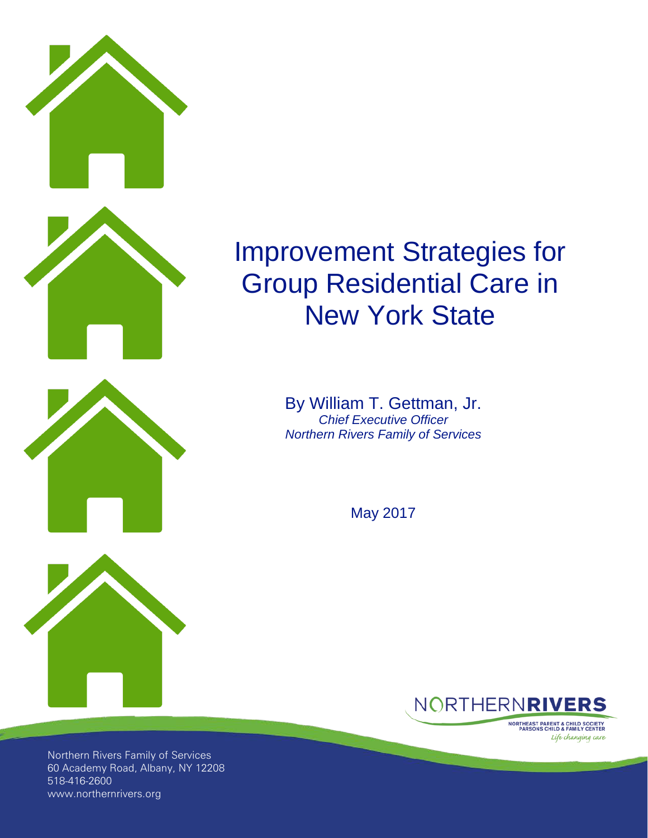

# Improvement Strategies for Group Residential Care in New York State

By William T. Gettman, Jr. *Chief Executive Officer Northern Rivers Family of Services*

May 2017



**NORTHEAST PARENT & CHILD SOCIETY<br>PARSONS CHILD & FAMILY CENTER** Life changing care

Northern Rivers Family of Services 60 Academy Road, Albany, NY 12208 518-416-2600 www.northernrivers.org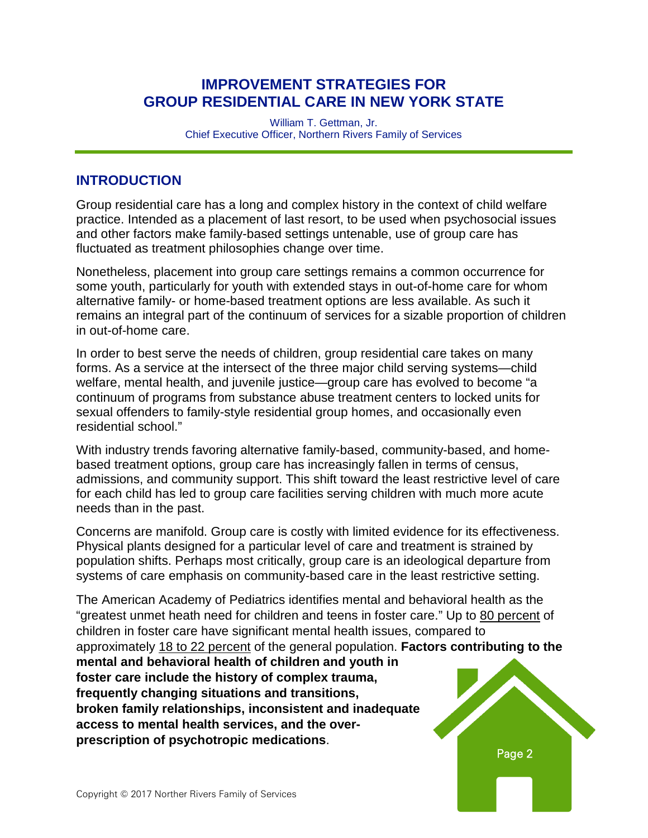### **IMPROVEMENT STRATEGIES FOR GROUP RESIDENTIAL CARE IN NEW YORK STATE**

William T. Gettman, Jr. Chief Executive Officer, Northern Rivers Family of Services

#### **INTRODUCTION**

Group residential care has a long and complex history in the context of child welfare practice. Intended as a placement of last resort, to be used when psychosocial issues and other factors make family-based settings untenable, use of group care has fluctuated as treatment philosophies change over time.

Nonetheless, placement into group care settings remains a common occurrence for some youth, particularly for youth with extended stays in out-of-home care for whom alternative family- or home-based treatment options are less available. As such it remains an integral part of the continuum of services for a sizable proportion of children in out-of-home care.

In order to best serve the needs of children, group residential care takes on many forms. As a service at the intersect of the three major child serving systems—child welfare, mental health, and juvenile justice—group care has evolved to become "a continuum of programs from substance abuse treatment centers to locked units for sexual offenders to family-style residential group homes, and occasionally even residential school."

With industry trends favoring alternative family-based, community-based, and homebased treatment options, group care has increasingly fallen in terms of census, admissions, and community support. This shift toward the least restrictive level of care for each child has led to group care facilities serving children with much more acute needs than in the past.

Concerns are manifold. Group care is costly with limited evidence for its effectiveness. Physical plants designed for a particular level of care and treatment is strained by population shifts. Perhaps most critically, group care is an ideological departure from systems of care emphasis on community-based care in the least restrictive setting.

The American Academy of Pediatrics identifies mental and behavioral health as the "greatest unmet heath need for children and teens in foster care." Up to 80 [percent](http://www.hunter.cuny.edu/socwork/nrcfcpp/downloads/information_packets/Mental_Health.pdf) of children in foster care have significant mental health issues, compared to approximately 18 to 22 [percent](http://www.hunter.cuny.edu/socwork/nrcfcpp/downloads/information_packets/Mental_Health.pdf) of the general population. **Factors contributing to the mental and behavioral health of children and youth in foster care include the history of complex trauma, frequently changing situations and transitions, broken family relationships, inconsistent and inadequate access to mental health services, and the overprescription of psychotropic medications**.

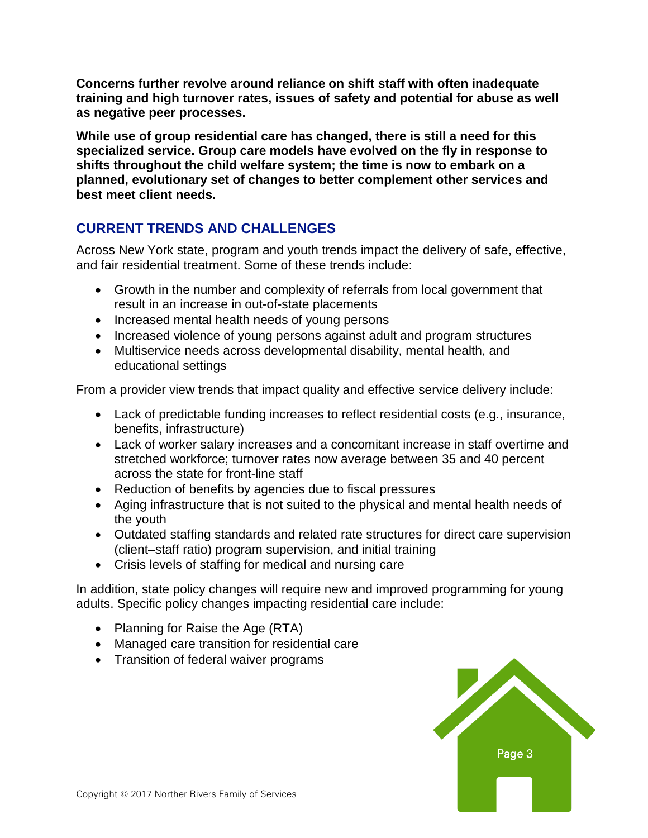**Concerns further revolve around reliance on shift staff with often inadequate training and high turnover rates, issues of safety and potential for abuse as well as negative peer processes.**

**While use of group residential care has changed, there is still a need for this specialized service. Group care models have evolved on the fly in response to shifts throughout the child welfare system; the time is now to embark on a planned, evolutionary set of changes to better complement other services and best meet client needs.**

## **CURRENT TRENDS AND CHALLENGES**

Across New York state, program and youth trends impact the delivery of safe, effective, and fair residential treatment. Some of these trends include:

- Growth in the number and complexity of referrals from local government that result in an increase in out-of-state placements
- Increased mental health needs of young persons
- Increased violence of young persons against adult and program structures
- Multiservice needs across developmental disability, mental health, and educational settings

From a provider view trends that impact quality and effective service delivery include:

- Lack of predictable funding increases to reflect residential costs (e.g., insurance, benefits, infrastructure)
- Lack of worker salary increases and a concomitant increase in staff overtime and stretched workforce; turnover rates now average between 35 and 40 percent across the state for front-line staff
- Reduction of benefits by agencies due to fiscal pressures
- Aging infrastructure that is not suited to the physical and mental health needs of the youth
- Outdated staffing standards and related rate structures for direct care supervision (client–staff ratio) program supervision, and initial training
- Crisis levels of staffing for medical and nursing care

In addition, state policy changes will require new and improved programming for young adults. Specific policy changes impacting residential care include:

- Planning for Raise the Age (RTA)
- Managed care transition for residential care
- Transition of federal waiver programs